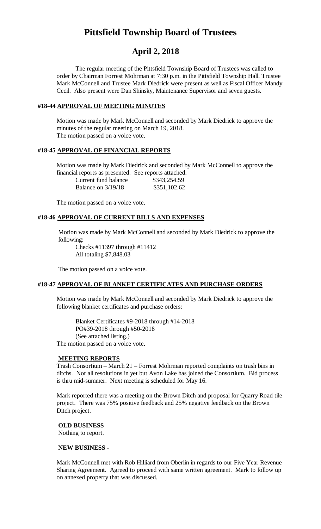# **Pittsfield Township Board of Trustees**

## **April 2, 2018**

The regular meeting of the Pittsfield Township Board of Trustees was called to order by Chairman Forrest Mohrman at 7:30 p.m. in the Pittsfield Township Hall. Trustee Mark McConnell and Trustee Mark Diedrick were present as well as Fiscal Officer Mandy Cecil. Also present were Dan Shinsky, Maintenance Supervisor and seven guests.

#### **#18-44 APPROVAL OF MEETING MINUTES**

Motion was made by Mark McConnell and seconded by Mark Diedrick to approve the minutes of the regular meeting on March 19, 2018. The motion passed on a voice vote.

#### **#18-45 APPROVAL OF FINANCIAL REPORTS**

Motion was made by Mark Diedrick and seconded by Mark McConnell to approve the financial reports as presented. See reports attached.

| Current fund balance | \$343,254.59 |
|----------------------|--------------|
| Balance on $3/19/18$ | \$351,102.62 |

The motion passed on a voice vote.

#### **#18-46 APPROVAL OF CURRENT BILLS AND EXPENSES**

Motion was made by Mark McConnell and seconded by Mark Diedrick to approve the following:

Checks #11397 through #11412 All totaling \$7,848.03

The motion passed on a voice vote.

## **#18-47 APPROVAL OF BLANKET CERTIFICATES AND PURCHASE ORDERS**

Motion was made by Mark McConnell and seconded by Mark Diedrick to approve the following blanket certificates and purchase orders:

Blanket Certificates #9-2018 through #14-2018 PO#39-2018 through #50-2018 (See attached listing.) The motion passed on a voice vote.

#### **MEETING REPORTS**

Trash Consortium – March 21 – Forrest Mohrman reported complaints on trash bins in ditchs. Not all resolutions in yet but Avon Lake has joined the Consortium. Bid process is thru mid-summer. Next meeting is scheduled for May 16.

Mark reported there was a meeting on the Brown Ditch and proposal for Quarry Road tile project. There was 75% positive feedback and 25% negative feedback on the Brown Ditch project.

#### **OLD BUSINESS**

Nothing to report.

#### **NEW BUSINESS -**

Mark McConnell met with Rob Hilliard from Oberlin in regards to our Five Year Revenue Sharing Agreement. Agreed to proceed with same written agreement. Mark to follow up on annexed property that was discussed.